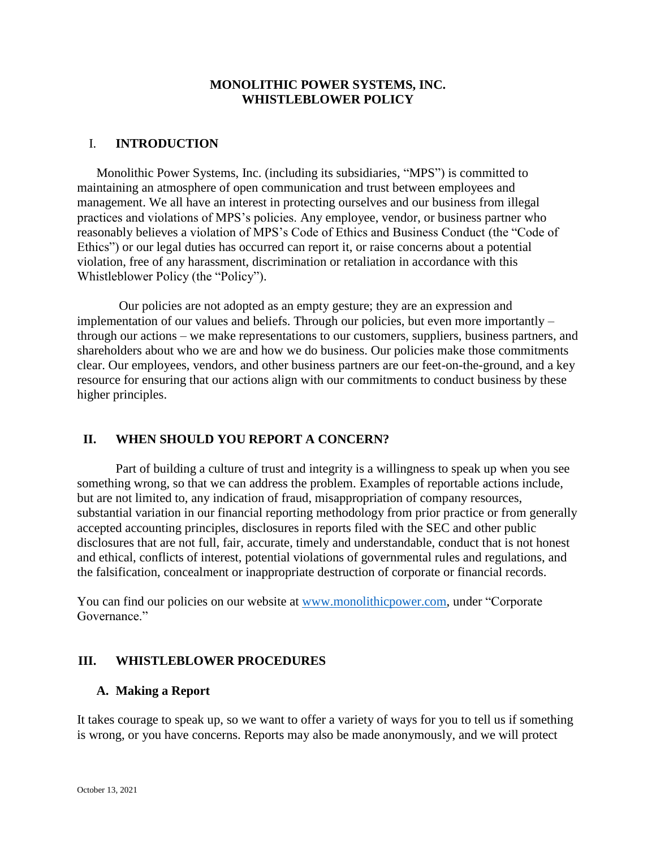# **MONOLITHIC POWER SYSTEMS, INC. WHISTLEBLOWER POLICY**

# I. **INTRODUCTION**

Monolithic Power Systems, Inc. (including its subsidiaries, "MPS") is committed to maintaining an atmosphere of open communication and trust between employees and management. We all have an interest in protecting ourselves and our business from illegal practices and violations of MPS's policies. Any employee, vendor, or business partner who reasonably believes a violation of MPS's Code of Ethics and Business Conduct (the "Code of Ethics") or our legal duties has occurred can report it, or raise concerns about a potential violation, free of any harassment, discrimination or retaliation in accordance with this Whistleblower Policy (the "Policy").

Our policies are not adopted as an empty gesture; they are an expression and implementation of our values and beliefs. Through our policies, but even more importantly – through our actions – we make representations to our customers, suppliers, business partners, and shareholders about who we are and how we do business. Our policies make those commitments clear. Our employees, vendors, and other business partners are our feet-on-the-ground, and a key resource for ensuring that our actions align with our commitments to conduct business by these higher principles.

# **II. WHEN SHOULD YOU REPORT A CONCERN?**

Part of building a culture of trust and integrity is a willingness to speak up when you see something wrong, so that we can address the problem. Examples of reportable actions include, but are not limited to, any indication of fraud, misappropriation of company resources, substantial variation in our financial reporting methodology from prior practice or from generally accepted accounting principles, disclosures in reports filed with the SEC and other public disclosures that are not full, fair, accurate, timely and understandable, conduct that is not honest and ethical, conflicts of interest, potential violations of governmental rules and regulations, and the falsification, concealment or inappropriate destruction of corporate or financial records.

You can find our policies on our website at [www.monolithicpower.com,](http://www.monolithicpower.com/) under "Corporate Governance."

# **III. WHISTLEBLOWER PROCEDURES**

# **A. Making a Report**

It takes courage to speak up, so we want to offer a variety of ways for you to tell us if something is wrong, or you have concerns. Reports may also be made anonymously, and we will protect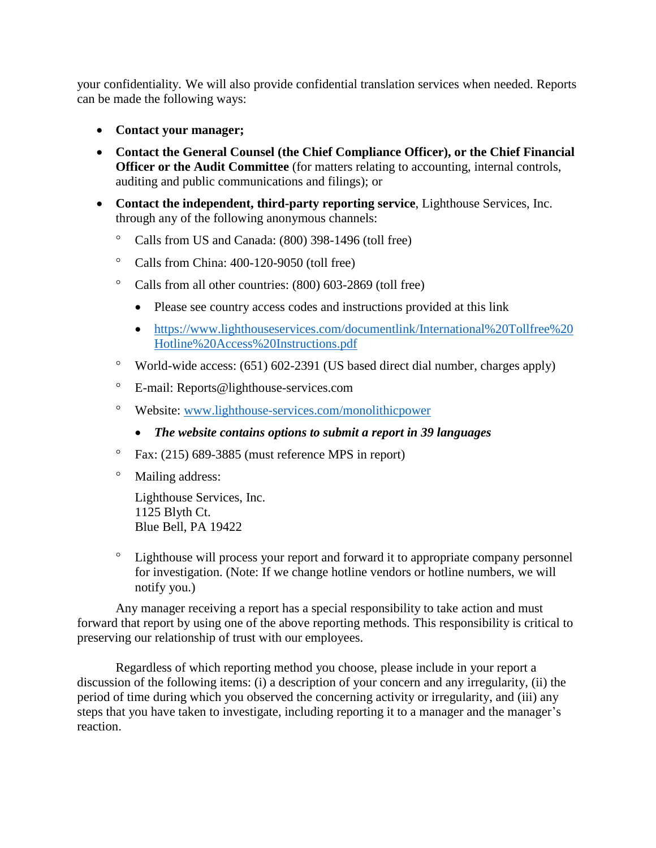your confidentiality. We will also provide confidential translation services when needed. Reports can be made the following ways:

- **Contact your manager;**
- **Contact the General Counsel (the Chief Compliance Officer), or the Chief Financial Officer or the Audit Committee** (for matters relating to accounting, internal controls, auditing and public communications and filings); or
- **Contact the independent, third-party reporting service**, Lighthouse Services, Inc. through any of the following anonymous channels:
	- <sup>o</sup> Calls from US and Canada: (800) 398-1496 (toll free)
	- $\degree$  Calls from China: 400-120-9050 (toll free)
	- <sup>o</sup> Calls from all other countries: (800) 603-2869 (toll free)
		- Please see country access codes and instructions provided at this link
		- [https://www.lighthouseservices.com/documentlink/International%20Tollfree%20](https://www.lighthouseservices.com/documentlink/International%20Tollfree%20Hotline%20Access%20Instructions.pdf) [Hotline%20Access%20Instructions.pdf](https://www.lighthouseservices.com/documentlink/International%20Tollfree%20Hotline%20Access%20Instructions.pdf)
	- $\degree$  World-wide access: (651) 602-2391 (US based direct dial number, charges apply)
	- E-mail: Reports@lighthouse-services.com
	- Website: [www.lighthouse-services.com/monolithicpower](http://www.lighthouse-services.com/monolithicpower)
		- *The website contains options to submit a report in 39 languages*
	- $\degree$  Fax: (215) 689-3885 (must reference MPS in report)
	- Mailing address:

Lighthouse Services, Inc. 1125 Blyth Ct. Blue Bell, PA 19422

 Lighthouse will process your report and forward it to appropriate company personnel for investigation. (Note: If we change hotline vendors or hotline numbers, we will notify you.)

Any manager receiving a report has a special responsibility to take action and must forward that report by using one of the above reporting methods. This responsibility is critical to preserving our relationship of trust with our employees.

Regardless of which reporting method you choose, please include in your report a discussion of the following items: (i) a description of your concern and any irregularity, (ii) the period of time during which you observed the concerning activity or irregularity, and (iii) any steps that you have taken to investigate, including reporting it to a manager and the manager's reaction.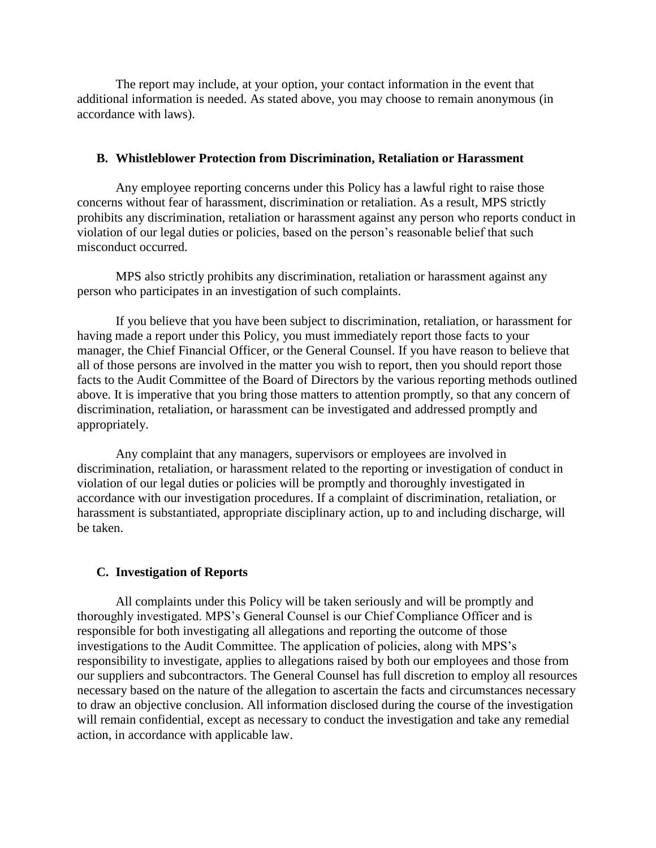The report may include, at your option, your contact information in the event that additional information is needed. As stated above, you may choose to remain anonymous (in accordance with laws).

#### **B. Whistleblower Protection from Discrimination, Retaliation or Harassment**

Any employee reporting concerns under this Policy has a lawful right to raise those concerns without fear of harassment, discrimination or retaliation. As a result, MPS strictly prohibits any discrimination, retaliation or harassment against any person who reports conduct in violation of our legal duties or policies, based on the person's reasonable belief that such misconduct occurred.

MPS also strictly prohibits any discrimination, retaliation or harassment against any person who participates in an investigation of such complaints.

If you believe that you have been subject to discrimination, retaliation, or harassment for having made a report under this Policy, you must immediately report those facts to your manager, the Chief Financial Officer, or the General Counsel. If you have reason to believe that all of those persons are involved in the matter you wish to report, then you should report those facts to the Audit Committee of the Board of Directors by the various reporting methods outlined above. It is imperative that you bring those matters to attention promptly, so that any concern of discrimination, retaliation, or harassment can be investigated and addressed promptly and appropriately.

Any complaint that any managers, supervisors or employees are involved in discrimination, retaliation, or harassment related to the reporting or investigation of conduct in violation of our legal duties or policies will be promptly and thoroughly investigated in accordance with our investigation procedures. If a complaint of discrimination, retaliation, or harassment is substantiated, appropriate disciplinary action, up to and including discharge, will be taken.

#### **C. Investigation of Reports**

All complaints under this Policy will be taken seriously and will be promptly and thoroughly investigated. MPS's General Counsel is our Chief Compliance Officer and is responsible for both investigating all allegations and reporting the outcome of those investigations to the Audit Committee. The application of policies, along with MPS's responsibility to investigate, applies to allegations raised by both our employees and those from our suppliers and subcontractors. The General Counsel has full discretion to employ all resources necessary based on the nature of the allegation to ascertain the facts and circumstances necessary to draw an objective conclusion. All information disclosed during the course of the investigation will remain confidential, except as necessary to conduct the investigation and take any remedial action, in accordance with applicable law.